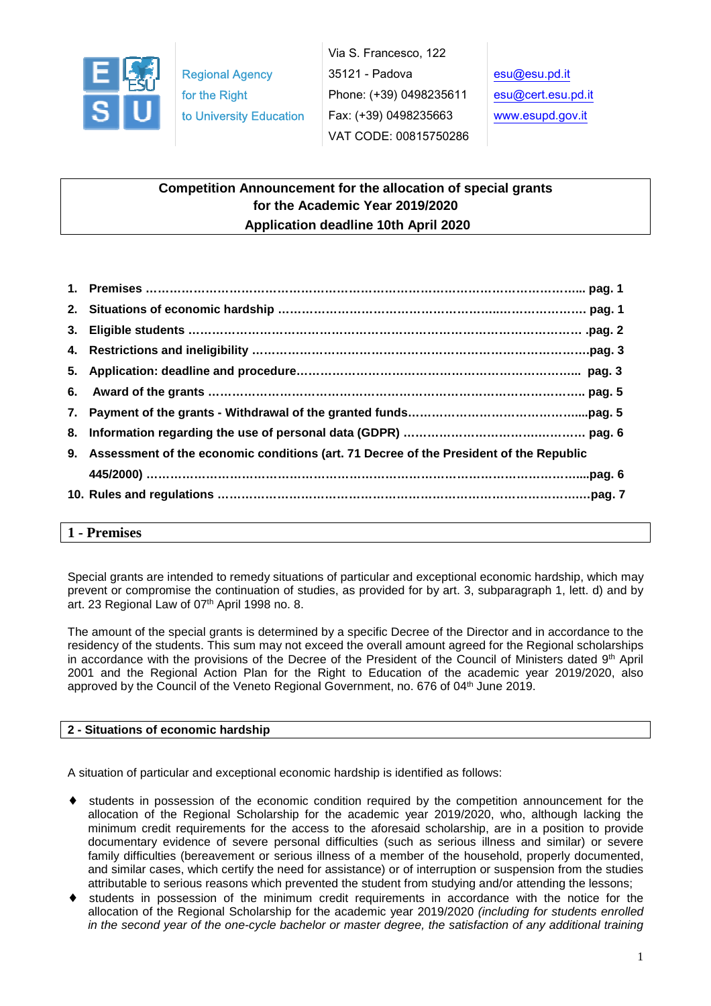

Via S. Francesco, 122 35121 - Padova Phone: (+39) 0498235611 Fax: (+39) 0498235663 VAT CODE: 00815750286

# **Competition Announcement for the allocation of special grants for the Academic Year 2019/2020 Application deadline 10th April 2020**

| 9. Assessment of the economic conditions (art. 71 Decree of the President of the Republic |
|-------------------------------------------------------------------------------------------|
|                                                                                           |
|                                                                                           |

#### **1 - Premises**

Special grants are intended to remedy situations of particular and exceptional economic hardship, which may prevent or compromise the continuation of studies, as provided for by art. 3, subparagraph 1, lett. d) and by art. 23 Regional Law of 07th April 1998 no. 8.

The amount of the special grants is determined by a specific Decree of the Director and in accordance to the residency of the students. This sum may not exceed the overall amount agreed for the Regional scholarships in accordance with the provisions of the Decree of the President of the Council of Ministers dated 9th April 2001 and the Regional Action Plan for the Right to Education of the academic year 2019/2020, also approved by the Council of the Veneto Regional Government, no. 676 of 04<sup>th</sup> June 2019.

## **2 - Situations of economic hardship**

A situation of particular and exceptional economic hardship is identified as follows:

- students in possession of the economic condition required by the competition announcement for the allocation of the Regional Scholarship for the academic year 2019/2020, who, although lacking the minimum credit requirements for the access to the aforesaid scholarship, are in a position to provide documentary evidence of severe personal difficulties (such as serious illness and similar) or severe family difficulties (bereavement or serious illness of a member of the household, properly documented, and similar cases, which certify the need for assistance) or of interruption or suspension from the studies attributable to serious reasons which prevented the student from studying and/or attending the lessons;
- ♦ students in possession of the minimum credit requirements in accordance with the notice for the allocation of the Regional Scholarship for the academic year 2019/2020 (including for students enrolled in the second year of the one-cycle bachelor or master degree, the satisfaction of any additional training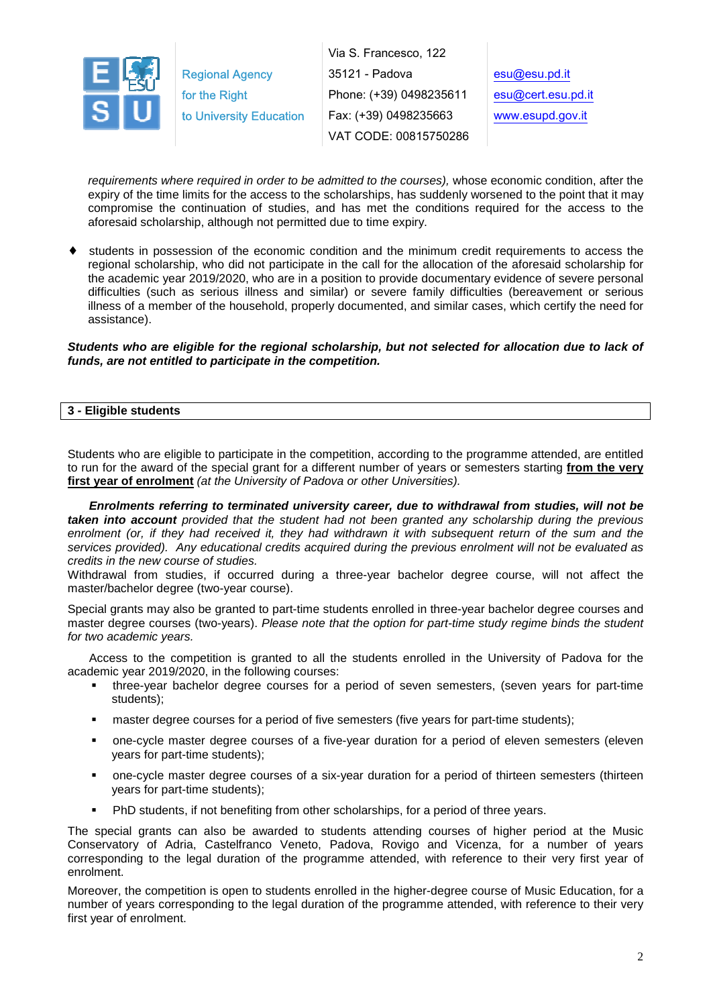

Via S. Francesco, 122 35121 - Padova Phone: (+39) 0498235611 Fax: (+39) 0498235663 VAT CODE: 00815750286

esu@esu.pd.it esu@cert.esu.pd.it www.esupd.gov.it

requirements where required in order to be admitted to the courses), whose economic condition, after the expiry of the time limits for the access to the scholarships, has suddenly worsened to the point that it may compromise the continuation of studies, and has met the conditions required for the access to the aforesaid scholarship, although not permitted due to time expiry.

students in possession of the economic condition and the minimum credit requirements to access the regional scholarship, who did not participate in the call for the allocation of the aforesaid scholarship for the academic year 2019/2020, who are in a position to provide documentary evidence of severe personal difficulties (such as serious illness and similar) or severe family difficulties (bereavement or serious illness of a member of the household, properly documented, and similar cases, which certify the need for assistance).

**Students who are eligible for the regional scholarship, but not selected for allocation due to lack of funds, are not entitled to participate in the competition.** 

#### **3 - Eligible students**

Students who are eligible to participate in the competition, according to the programme attended, are entitled to run for the award of the special grant for a different number of years or semesters starting **from the very first year of enrolment** (at the University of Padova or other Universities).

**Enrolments referring to terminated university career, due to withdrawal from studies, will not be taken into account** provided that the student had not been granted any scholarship during the previous enrolment (or, if they had received it, they had withdrawn it with subsequent return of the sum and the services provided). Any educational credits acquired during the previous enrolment will not be evaluated as credits in the new course of studies.

Withdrawal from studies, if occurred during a three-year bachelor degree course, will not affect the master/bachelor degree (two-year course).

Special grants may also be granted to part-time students enrolled in three-year bachelor degree courses and master degree courses (two-years). Please note that the option for part-time study regime binds the student for two academic years.

Access to the competition is granted to all the students enrolled in the University of Padova for the academic year 2019/2020, in the following courses:

- three-year bachelor degree courses for a period of seven semesters, (seven years for part-time students);
- master degree courses for a period of five semesters (five years for part-time students);
- one-cycle master degree courses of a five-year duration for a period of eleven semesters (eleven years for part-time students);
- one-cycle master degree courses of a six-year duration for a period of thirteen semesters (thirteen years for part-time students);
- PhD students, if not benefiting from other scholarships, for a period of three years.

The special grants can also be awarded to students attending courses of higher period at the Music Conservatory of Adria, Castelfranco Veneto, Padova, Rovigo and Vicenza, for a number of years corresponding to the legal duration of the programme attended, with reference to their very first year of enrolment.

Moreover, the competition is open to students enrolled in the higher-degree course of Music Education, for a number of years corresponding to the legal duration of the programme attended, with reference to their very first year of enrolment.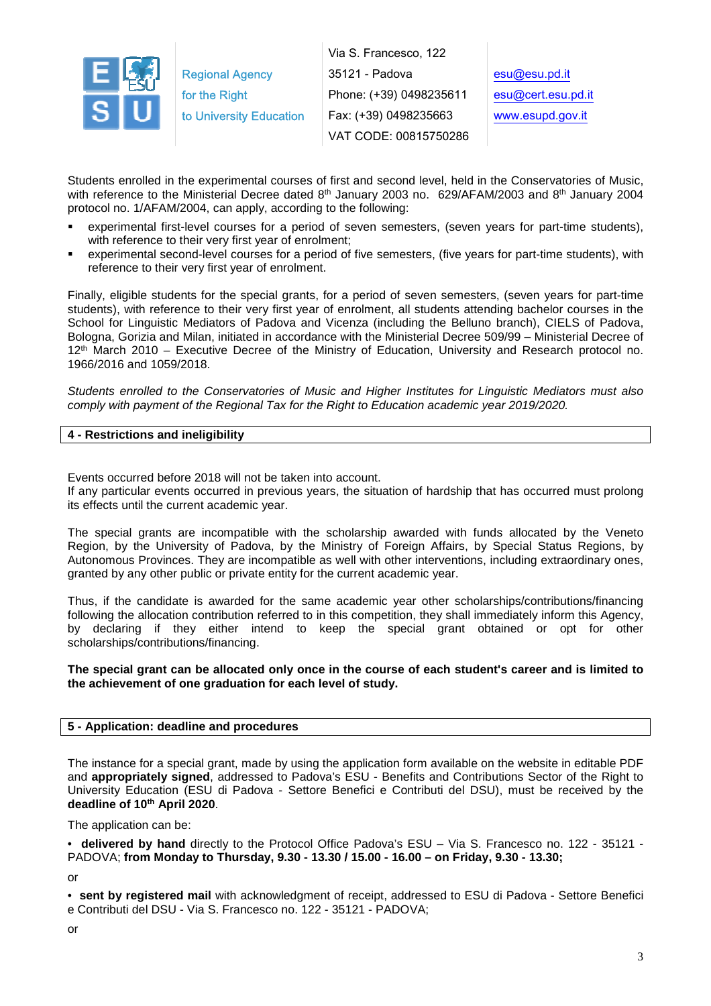

Via S. Francesco, 122 35121 - Padova Phone: (+39) 0498235611 Fax: (+39) 0498235663 VAT CODE: 00815750286

esu@esu.pd.it esu@cert.esu.pd.it www.esupd.gov.it

Students enrolled in the experimental courses of first and second level, held in the Conservatories of Music, with reference to the Ministerial Decree dated 8<sup>th</sup> January 2003 no. 629/AFAM/2003 and 8<sup>th</sup> January 2004 protocol no. 1/AFAM/2004, can apply, according to the following:

- experimental first-level courses for a period of seven semesters, (seven years for part-time students), with reference to their very first year of enrolment;
- experimental second-level courses for a period of five semesters, (five years for part-time students), with reference to their very first year of enrolment.

Finally, eligible students for the special grants, for a period of seven semesters, (seven years for part-time students), with reference to their very first year of enrolment, all students attending bachelor courses in the School for Linguistic Mediators of Padova and Vicenza (including the Belluno branch), CIELS of Padova, Bologna, Gorizia and Milan, initiated in accordance with the Ministerial Decree 509/99 – Ministerial Decree of 12<sup>th</sup> March 2010 – Executive Decree of the Ministry of Education, University and Research protocol no. 1966/2016 and 1059/2018.

Students enrolled to the Conservatories of Music and Higher Institutes for Linguistic Mediators must also comply with payment of the Regional Tax for the Right to Education academic year 2019/2020.

## **4 - Restrictions and ineligibility**

Events occurred before 2018 will not be taken into account.

If any particular events occurred in previous years, the situation of hardship that has occurred must prolong its effects until the current academic year.

The special grants are incompatible with the scholarship awarded with funds allocated by the Veneto Region, by the University of Padova, by the Ministry of Foreign Affairs, by Special Status Regions, by Autonomous Provinces. They are incompatible as well with other interventions, including extraordinary ones, granted by any other public or private entity for the current academic year.

Thus, if the candidate is awarded for the same academic year other scholarships/contributions/financing following the allocation contribution referred to in this competition, they shall immediately inform this Agency, by declaring if they either intend to keep the special grant obtained or opt for other scholarships/contributions/financing.

#### **The special grant can be allocated only once in the course of each student's career and is limited to the achievement of one graduation for each level of study.**

#### **5 - Application: deadline and procedures**

The instance for a special grant, made by using the application form available on the website in editable PDF and **appropriately signed**, addressed to Padova's ESU - Benefits and Contributions Sector of the Right to University Education (ESU di Padova - Settore Benefici e Contributi del DSU), must be received by the **deadline of 10th April 2020**.

The application can be:

• **delivered by hand** directly to the Protocol Office Padova's ESU – Via S. Francesco no. 122 - 35121 - PADOVA; **from Monday to Thursday, 9.30 - 13.30 / 15.00 - 16.00 – on Friday, 9.30 - 13.30;** 

or

• **sent by registered mail** with acknowledgment of receipt, addressed to ESU di Padova - Settore Benefici e Contributi del DSU - Via S. Francesco no. 122 - 35121 - PADOVA;

or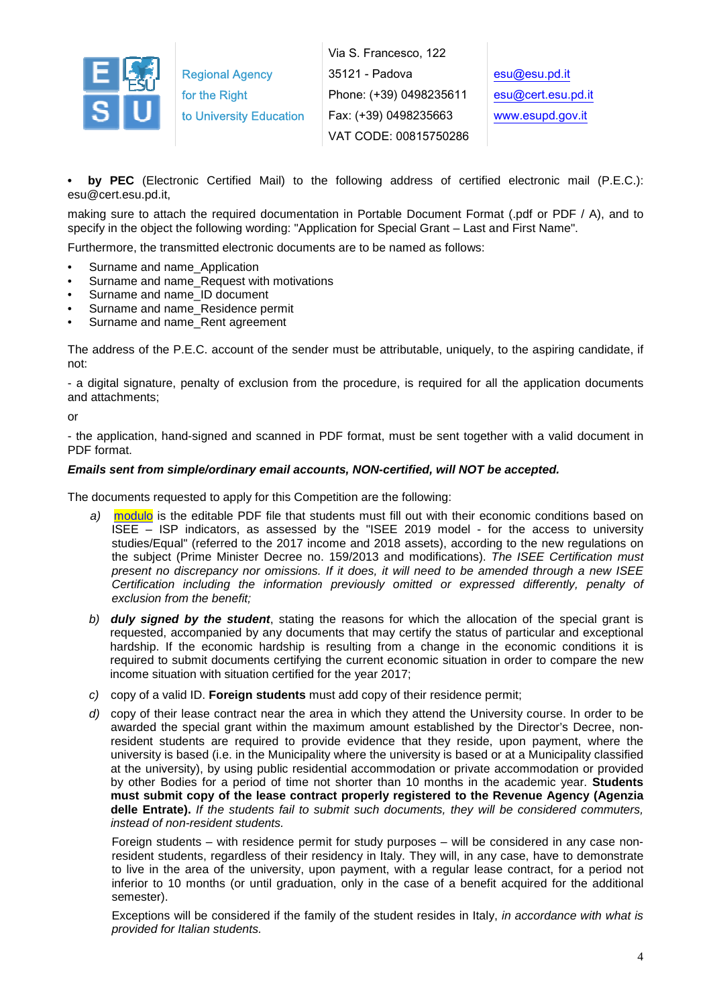

Via S. Francesco, 122 35121 - Padova Phone: (+39) 0498235611 Fax: (+39) 0498235663 VAT CODE: 00815750286

**• by PEC** (Electronic Certified Mail) to the following address of certified electronic mail (P.E.C.): esu@cert.esu.pd.it,

making sure to attach the required documentation in Portable Document Format (.pdf or PDF / A), and to specify in the object the following wording: "Application for Special Grant – Last and First Name".

Furthermore, the transmitted electronic documents are to be named as follows:

- Surname and name\_Application
- Surname and name Request with motivations
- Surname and name\_ID document
- Surname and name Residence permit
- Surname and name\_Rent agreement

The address of the P.E.C. account of the sender must be attributable, uniquely, to the aspiring candidate, if not:

- a digital signature, penalty of exclusion from the procedure, is required for all the application documents and attachments;

or

- the application, hand-signed and scanned in PDF format, must be sent together with a valid document in PDF format.

#### **Emails sent from simple/ordinary email accounts, NON-certified, will NOT be accepted.**

The documents requested to apply for this Competition are the following:

- a) modulo is the editable PDF file that students must fill out with their economic conditions based on ISEE – ISP indicators, as assessed by the "ISEE 2019 model - for the access to university studies/Equal" (referred to the 2017 income and 2018 assets), according to the new regulations on the subject (Prime Minister Decree no. 159/2013 and modifications). The ISEE Certification must present no discrepancy nor omissions. If it does, it will need to be amended through a new ISEE Certification including the information previously omitted or expressed differently, penalty of exclusion from the benefit;
- b) **duly signed by the student**, stating the reasons for which the allocation of the special grant is requested, accompanied by any documents that may certify the status of particular and exceptional hardship. If the economic hardship is resulting from a change in the economic conditions it is required to submit documents certifying the current economic situation in order to compare the new income situation with situation certified for the year 2017;
- c) copy of a valid ID. **Foreign students** must add copy of their residence permit;
- d) copy of their lease contract near the area in which they attend the University course. In order to be awarded the special grant within the maximum amount established by the Director's Decree, nonresident students are required to provide evidence that they reside, upon payment, where the university is based (i.e. in the Municipality where the university is based or at a Municipality classified at the university), by using public residential accommodation or private accommodation or provided by other Bodies for a period of time not shorter than 10 months in the academic year. **Students must submit copy of the lease contract properly registered to the Revenue Agency (Agenzia**  delle Entrate). If the students fail to submit such documents, they will be considered commuters, instead of non-resident students.

Foreign students – with residence permit for study purposes – will be considered in any case nonresident students, regardless of their residency in Italy. They will, in any case, have to demonstrate to live in the area of the university, upon payment, with a regular lease contract, for a period not inferior to 10 months (or until graduation, only in the case of a benefit acquired for the additional semester).

Exceptions will be considered if the family of the student resides in Italy, in accordance with what is provided for Italian students.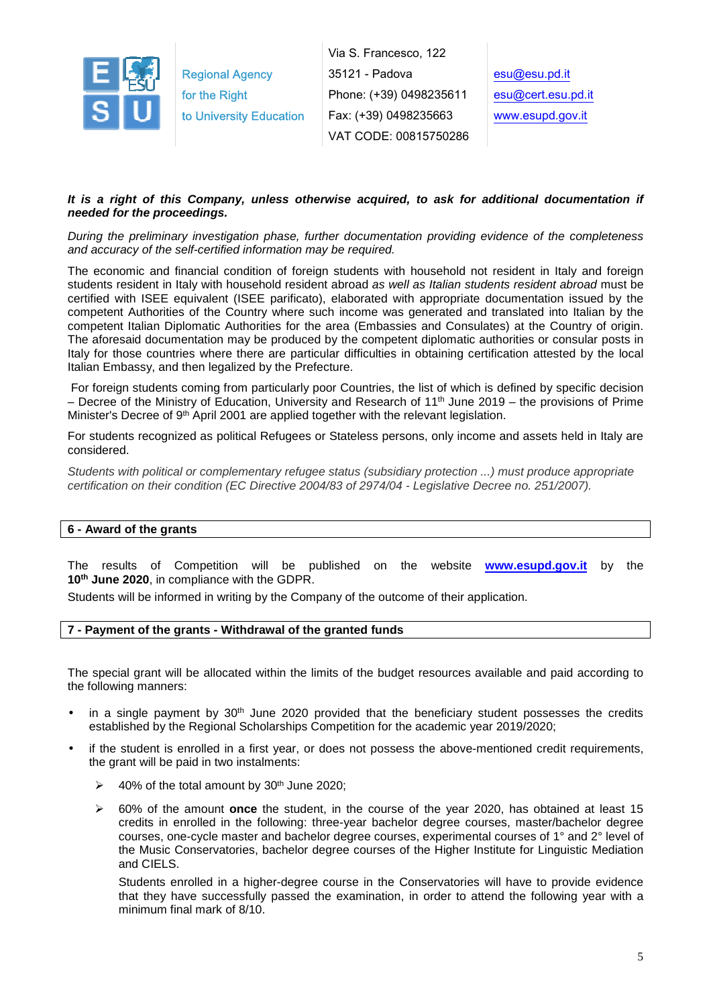

#### **It is a right of this Company, unless otherwise acquired, to ask for additional documentation if needed for the proceedings.**

During the preliminary investigation phase, further documentation providing evidence of the completeness and accuracy of the self-certified information may be required.

The economic and financial condition of foreign students with household not resident in Italy and foreign students resident in Italy with household resident abroad as well as Italian students resident abroad must be certified with ISEE equivalent (ISEE parificato), elaborated with appropriate documentation issued by the competent Authorities of the Country where such income was generated and translated into Italian by the competent Italian Diplomatic Authorities for the area (Embassies and Consulates) at the Country of origin. The aforesaid documentation may be produced by the competent diplomatic authorities or consular posts in Italy for those countries where there are particular difficulties in obtaining certification attested by the local Italian Embassy, and then legalized by the Prefecture.

 For foreign students coming from particularly poor Countries, the list of which is defined by specific decision – Decree of the Ministry of Education, University and Research of 11th June 2019 – the provisions of Prime Minister's Decree of 9<sup>th</sup> April 2001 are applied together with the relevant legislation.

For students recognized as political Refugees or Stateless persons, only income and assets held in Italy are considered.

Students with political or complementary refugee status (subsidiary protection ...) must produce appropriate certification on their condition (EC Directive 2004/83 of 2974/04 - Legislative Decree no. 251/2007).

#### **6 - Award of the grants**

The results of Competition will be published on the website **www.esupd.gov.it** by the **10th June 2020**, in compliance with the GDPR.

Students will be informed in writing by the Company of the outcome of their application.

#### **7 - Payment of the grants - Withdrawal of the granted funds**

The special grant will be allocated within the limits of the budget resources available and paid according to the following manners:

- in a single payment by  $30<sup>th</sup>$  June 2020 provided that the beneficiary student possesses the credits established by the Regional Scholarships Competition for the academic year 2019/2020;
- if the student is enrolled in a first year, or does not possess the above-mentioned credit requirements, the grant will be paid in two instalments:
	- $\blacktriangleright$ 40% of the total amount by 30th June 2020;
	- $\triangleright$  60% of the amount **once** the student, in the course of the year 2020, has obtained at least 15 credits in enrolled in the following: three-year bachelor degree courses, master/bachelor degree courses, one-cycle master and bachelor degree courses, experimental courses of 1° and 2° level of the Music Conservatories, bachelor degree courses of the Higher Institute for Linguistic Mediation and CIELS.

Students enrolled in a higher-degree course in the Conservatories will have to provide evidence that they have successfully passed the examination, in order to attend the following year with a minimum final mark of 8/10.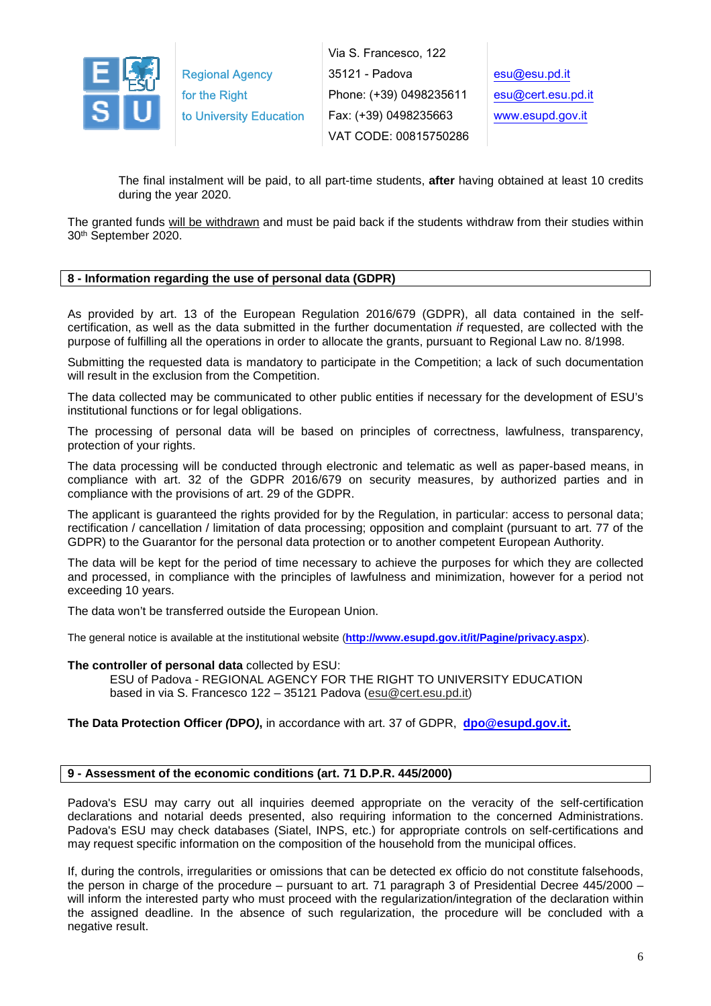

The final instalment will be paid, to all part-time students, **after** having obtained at least 10 credits during the year 2020.

The granted funds will be withdrawn and must be paid back if the students withdraw from their studies within 30th September 2020.

## **8 - Information regarding the use of personal data (GDPR)**

As provided by art. 13 of the European Regulation 2016/679 (GDPR), all data contained in the selfcertification, as well as the data submitted in the further documentation if requested, are collected with the purpose of fulfilling all the operations in order to allocate the grants, pursuant to Regional Law no. 8/1998.

Submitting the requested data is mandatory to participate in the Competition; a lack of such documentation will result in the exclusion from the Competition.

The data collected may be communicated to other public entities if necessary for the development of ESU's institutional functions or for legal obligations.

The processing of personal data will be based on principles of correctness, lawfulness, transparency, protection of your rights.

The data processing will be conducted through electronic and telematic as well as paper-based means, in compliance with art. 32 of the GDPR 2016/679 on security measures, by authorized parties and in compliance with the provisions of art. 29 of the GDPR.

The applicant is guaranteed the rights provided for by the Regulation, in particular: access to personal data; rectification / cancellation / limitation of data processing; opposition and complaint (pursuant to art. 77 of the GDPR) to the Guarantor for the personal data protection or to another competent European Authority.

The data will be kept for the period of time necessary to achieve the purposes for which they are collected and processed, in compliance with the principles of lawfulness and minimization, however for a period not exceeding 10 years.

The data won't be transferred outside the European Union.

The general notice is available at the institutional website (**http://www.esupd.gov.it/it/Pagine/privacy.aspx**).

#### **The controller of personal data** collected by ESU:

ESU of Padova - REGIONAL AGENCY FOR THE RIGHT TO UNIVERSITY EDUCATION based in via S. Francesco 122 – 35121 Padova (esu@cert.esu.pd.it)

**The Data Protection Officer (DPO),** in accordance with art. 37 of GDPR, **dpo@esupd.gov.it.**

#### **9 - Assessment of the economic conditions (art. 71 D.P.R. 445/2000)**

Padova's ESU may carry out all inquiries deemed appropriate on the veracity of the self-certification declarations and notarial deeds presented, also requiring information to the concerned Administrations. Padova's ESU may check databases (Siatel, INPS, etc.) for appropriate controls on self-certifications and may request specific information on the composition of the household from the municipal offices.

If, during the controls, irregularities or omissions that can be detected ex officio do not constitute falsehoods, the person in charge of the procedure – pursuant to art. 71 paragraph 3 of Presidential Decree 445/2000 – will inform the interested party who must proceed with the regularization/integration of the declaration within the assigned deadline. In the absence of such regularization, the procedure will be concluded with a negative result.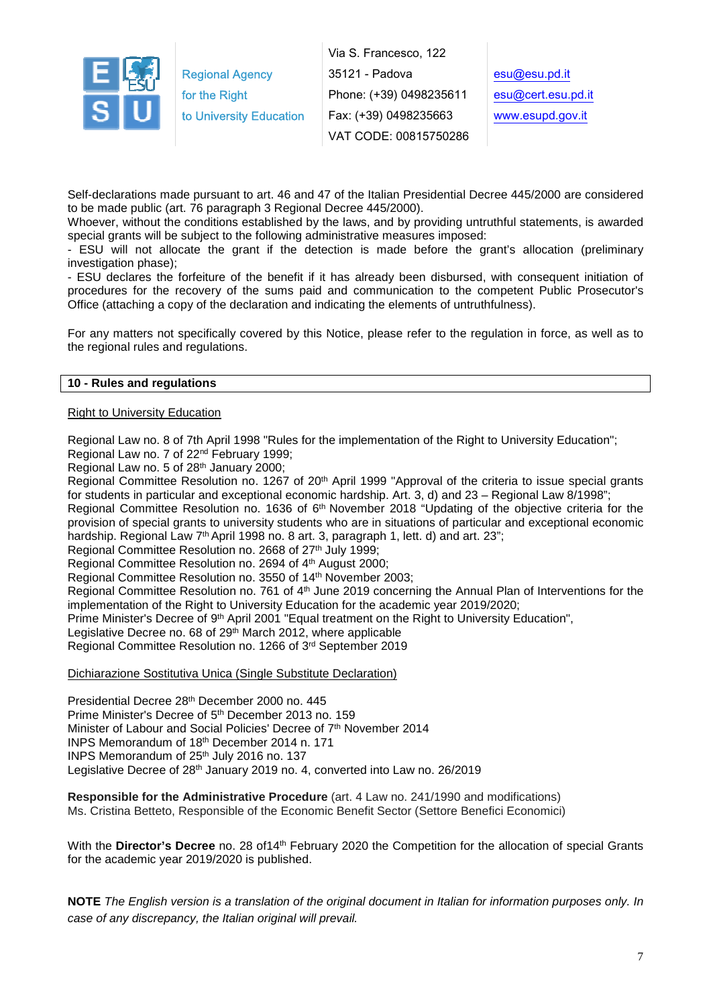

Via S. Francesco, 122 35121 - Padova Phone: (+39) 0498235611 Fax: (+39) 0498235663 VAT CODE: 00815750286

Self-declarations made pursuant to art. 46 and 47 of the Italian Presidential Decree 445/2000 are considered to be made public (art. 76 paragraph 3 Regional Decree 445/2000).

Whoever, without the conditions established by the laws, and by providing untruthful statements, is awarded special grants will be subject to the following administrative measures imposed:

- ESU will not allocate the grant if the detection is made before the grant's allocation (preliminary investigation phase);

- ESU declares the forfeiture of the benefit if it has already been disbursed, with consequent initiation of procedures for the recovery of the sums paid and communication to the competent Public Prosecutor's Office (attaching a copy of the declaration and indicating the elements of untruthfulness).

For any matters not specifically covered by this Notice, please refer to the regulation in force, as well as to the regional rules and regulations.

#### **10 - Rules and regulations**

#### Right to University Education

Regional Law no. 8 of 7th April 1998 "Rules for the implementation of the Right to University Education"; Regional Law no. 7 of 22nd February 1999;

Regional Law no. 5 of 28th January 2000;

Regional Committee Resolution no. 1267 of 20<sup>th</sup> April 1999 "Approval of the criteria to issue special grants for students in particular and exceptional economic hardship. Art. 3, d) and 23 – Regional Law 8/1998";

Regional Committee Resolution no. 1636 of 6th November 2018 "Updating of the objective criteria for the provision of special grants to university students who are in situations of particular and exceptional economic hardship. Regional Law 7<sup>th</sup> April 1998 no. 8 art. 3, paragraph 1, lett. d) and art. 23";

Regional Committee Resolution no. 2668 of 27<sup>th</sup> July 1999;

Regional Committee Resolution no. 2694 of 4<sup>th</sup> August 2000;

Regional Committee Resolution no. 3550 of 14th November 2003;

Regional Committee Resolution no. 761 of 4th June 2019 concerning the Annual Plan of Interventions for the implementation of the Right to University Education for the academic year 2019/2020;

Prime Minister's Decree of 9<sup>th</sup> April 2001 "Equal treatment on the Right to University Education",

Legislative Decree no. 68 of 29<sup>th</sup> March 2012, where applicable

Regional Committee Resolution no. 1266 of 3rd September 2019

Dichiarazione Sostitutiva Unica (Single Substitute Declaration)

Presidential Decree 28th December 2000 no. 445 Prime Minister's Decree of 5th December 2013 no. 159 Minister of Labour and Social Policies' Decree of 7<sup>th</sup> November 2014 INPS Memorandum of 18th December 2014 n. 171 INPS Memorandum of 25<sup>th</sup> July 2016 no. 137 Legislative Decree of 28<sup>th</sup> January 2019 no. 4, converted into Law no. 26/2019

**Responsible for the Administrative Procedure** (art. 4 Law no. 241/1990 and modifications) Ms. Cristina Betteto, Responsible of the Economic Benefit Sector (Settore Benefici Economici)

With the **Director's Decree** no. 28 of 14<sup>th</sup> February 2020 the Competition for the allocation of special Grants for the academic year 2019/2020 is published.

**NOTE** The English version is a translation of the original document in Italian for information purposes only. In case of any discrepancy, the Italian original will prevail.